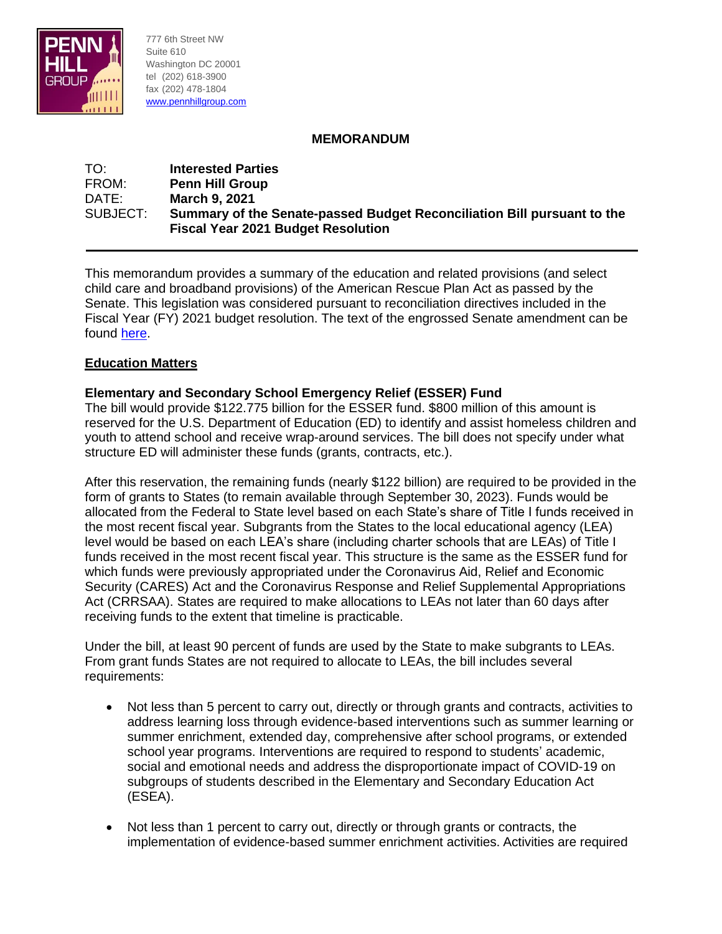

777 6th Street NW Suite 610 Washington DC 20001 tel (202) 618-3900 fax (202) 478-1804 [www.pennhillgroup.com](file:///C:/Users/User/Documents/Work%20Documents%20(Stombres)/PHG/www.pennhillgroup.com)

## **MEMORANDUM**

### TO: **Interested Parties** FROM: **Penn Hill Group** DATE: **March 9, 2021** SUBJECT: **Summary of the Senate-passed Budget Reconciliation Bill pursuant to the Fiscal Year 2021 Budget Resolution**

This memorandum provides a summary of the education and related provisions (and select child care and broadband provisions) of the American Rescue Plan Act as passed by the Senate. This legislation was considered pursuant to reconciliation directives included in the Fiscal Year (FY) 2021 budget resolution. The text of the engrossed Senate amendment can be found [here.](https://rules.house.gov/sites/democrats.rules.house.gov/files/BILLS-117HR1319EAS.pdf)

## **Education Matters**

## **Elementary and Secondary School Emergency Relief (ESSER) Fund**

The bill would provide \$122.775 billion for the ESSER fund. \$800 million of this amount is reserved for the U.S. Department of Education (ED) to identify and assist homeless children and youth to attend school and receive wrap-around services. The bill does not specify under what structure ED will administer these funds (grants, contracts, etc.).

After this reservation, the remaining funds (nearly \$122 billion) are required to be provided in the form of grants to States (to remain available through September 30, 2023). Funds would be allocated from the Federal to State level based on each State's share of Title I funds received in the most recent fiscal year. Subgrants from the States to the local educational agency (LEA) level would be based on each LEA's share (including charter schools that are LEAs) of Title I funds received in the most recent fiscal year. This structure is the same as the ESSER fund for which funds were previously appropriated under the Coronavirus Aid, Relief and Economic Security (CARES) Act and the Coronavirus Response and Relief Supplemental Appropriations Act (CRRSAA). States are required to make allocations to LEAs not later than 60 days after receiving funds to the extent that timeline is practicable.

Under the bill, at least 90 percent of funds are used by the State to make subgrants to LEAs. From grant funds States are not required to allocate to LEAs, the bill includes several requirements:

- Not less than 5 percent to carry out, directly or through grants and contracts, activities to address learning loss through evidence-based interventions such as summer learning or summer enrichment, extended day, comprehensive after school programs, or extended school year programs. Interventions are required to respond to students' academic, social and emotional needs and address the disproportionate impact of COVID-19 on subgroups of students described in the Elementary and Secondary Education Act (ESEA).
- Not less than 1 percent to carry out, directly or through grants or contracts, the implementation of evidence-based summer enrichment activities. Activities are required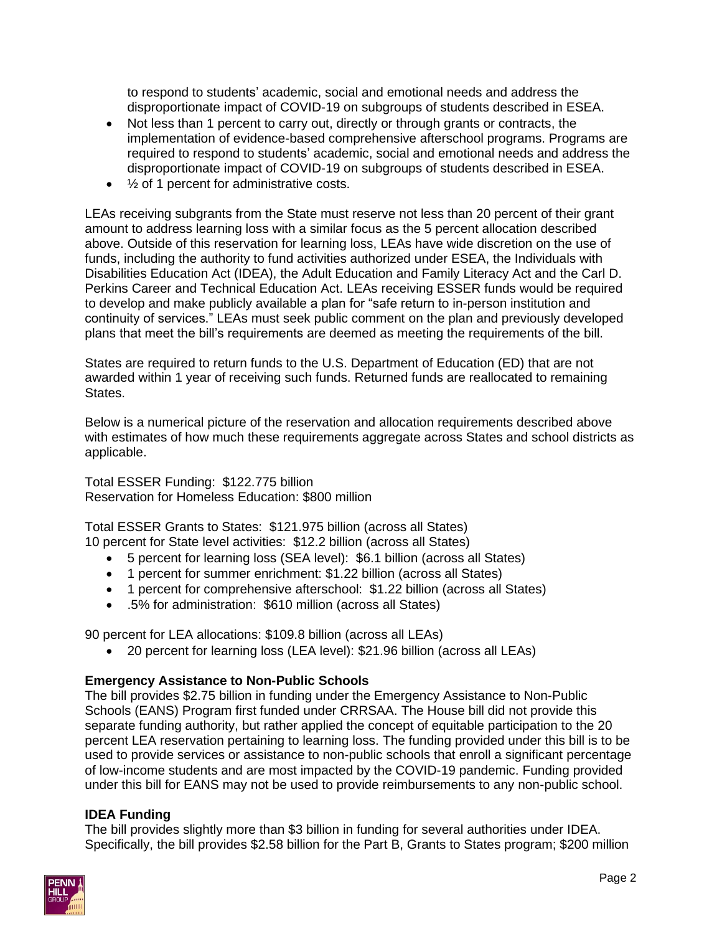to respond to students' academic, social and emotional needs and address the disproportionate impact of COVID-19 on subgroups of students described in ESEA.

- Not less than 1 percent to carry out, directly or through grants or contracts, the implementation of evidence-based comprehensive afterschool programs. Programs are required to respond to students' academic, social and emotional needs and address the disproportionate impact of COVID-19 on subgroups of students described in ESEA.
- $\frac{1}{2}$  of 1 percent for administrative costs.

LEAs receiving subgrants from the State must reserve not less than 20 percent of their grant amount to address learning loss with a similar focus as the 5 percent allocation described above. Outside of this reservation for learning loss, LEAs have wide discretion on the use of funds, including the authority to fund activities authorized under ESEA, the Individuals with Disabilities Education Act (IDEA), the Adult Education and Family Literacy Act and the Carl D. Perkins Career and Technical Education Act. LEAs receiving ESSER funds would be required to develop and make publicly available a plan for "safe return to in-person institution and continuity of services." LEAs must seek public comment on the plan and previously developed plans that meet the bill's requirements are deemed as meeting the requirements of the bill.

States are required to return funds to the U.S. Department of Education (ED) that are not awarded within 1 year of receiving such funds. Returned funds are reallocated to remaining States.

Below is a numerical picture of the reservation and allocation requirements described above with estimates of how much these requirements aggregate across States and school districts as applicable.

Total ESSER Funding: \$122.775 billion Reservation for Homeless Education: \$800 million

Total ESSER Grants to States: \$121.975 billion (across all States) 10 percent for State level activities: \$12.2 billion (across all States)

- 5 percent for learning loss (SEA level): \$6.1 billion (across all States)
- 1 percent for summer enrichment: \$1.22 billion (across all States)
- 1 percent for comprehensive afterschool: \$1.22 billion (across all States)
- .5% for administration: \$610 million (across all States)

90 percent for LEA allocations: \$109.8 billion (across all LEAs)

• 20 percent for learning loss (LEA level): \$21.96 billion (across all LEAs)

## **Emergency Assistance to Non-Public Schools**

The bill provides \$2.75 billion in funding under the Emergency Assistance to Non-Public Schools (EANS) Program first funded under CRRSAA. The House bill did not provide this separate funding authority, but rather applied the concept of equitable participation to the 20 percent LEA reservation pertaining to learning loss. The funding provided under this bill is to be used to provide services or assistance to non-public schools that enroll a significant percentage of low-income students and are most impacted by the COVID-19 pandemic. Funding provided under this bill for EANS may not be used to provide reimbursements to any non-public school.

## **IDEA Funding**

The bill provides slightly more than \$3 billion in funding for several authorities under IDEA. Specifically, the bill provides \$2.58 billion for the Part B, Grants to States program; \$200 million

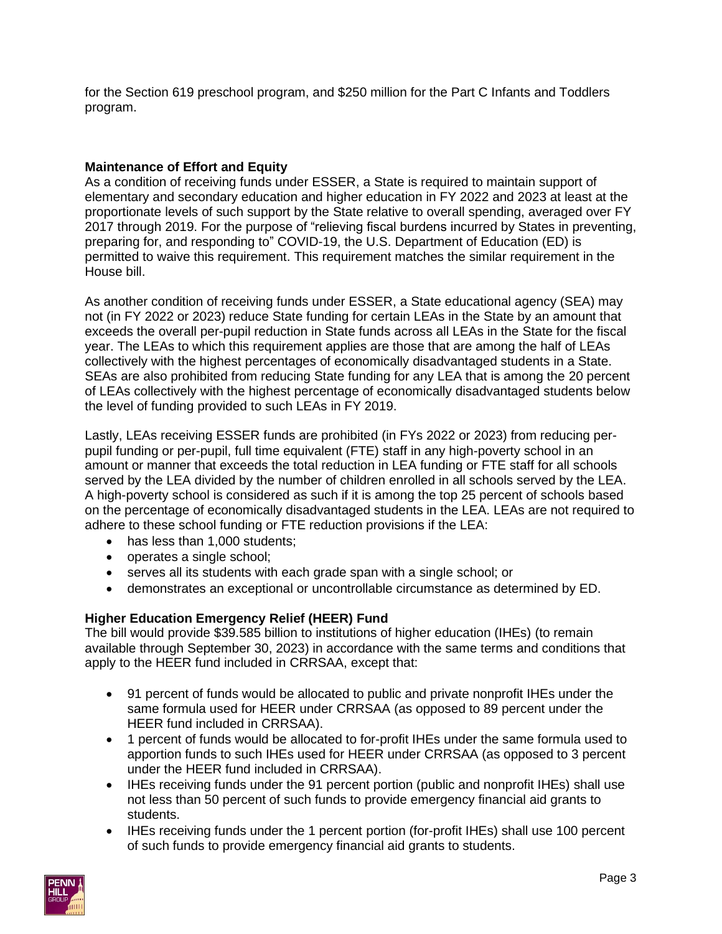for the Section 619 preschool program, and \$250 million for the Part C Infants and Toddlers program.

## **Maintenance of Effort and Equity**

As a condition of receiving funds under ESSER, a State is required to maintain support of elementary and secondary education and higher education in FY 2022 and 2023 at least at the proportionate levels of such support by the State relative to overall spending, averaged over FY 2017 through 2019. For the purpose of "relieving fiscal burdens incurred by States in preventing, preparing for, and responding to" COVID-19, the U.S. Department of Education (ED) is permitted to waive this requirement. This requirement matches the similar requirement in the House bill.

As another condition of receiving funds under ESSER, a State educational agency (SEA) may not (in FY 2022 or 2023) reduce State funding for certain LEAs in the State by an amount that exceeds the overall per-pupil reduction in State funds across all LEAs in the State for the fiscal year. The LEAs to which this requirement applies are those that are among the half of LEAs collectively with the highest percentages of economically disadvantaged students in a State. SEAs are also prohibited from reducing State funding for any LEA that is among the 20 percent of LEAs collectively with the highest percentage of economically disadvantaged students below the level of funding provided to such LEAs in FY 2019.

Lastly, LEAs receiving ESSER funds are prohibited (in FYs 2022 or 2023) from reducing perpupil funding or per-pupil, full time equivalent (FTE) staff in any high-poverty school in an amount or manner that exceeds the total reduction in LEA funding or FTE staff for all schools served by the LEA divided by the number of children enrolled in all schools served by the LEA. A high-poverty school is considered as such if it is among the top 25 percent of schools based on the percentage of economically disadvantaged students in the LEA. LEAs are not required to adhere to these school funding or FTE reduction provisions if the LEA:

- has less than 1,000 students:
- operates a single school;
- serves all its students with each grade span with a single school; or
- demonstrates an exceptional or uncontrollable circumstance as determined by ED.

# **Higher Education Emergency Relief (HEER) Fund**

The bill would provide \$39.585 billion to institutions of higher education (IHEs) (to remain available through September 30, 2023) in accordance with the same terms and conditions that apply to the HEER fund included in CRRSAA, except that:

- 91 percent of funds would be allocated to public and private nonprofit IHEs under the same formula used for HEER under CRRSAA (as opposed to 89 percent under the HEER fund included in CRRSAA).
- 1 percent of funds would be allocated to for-profit IHEs under the same formula used to apportion funds to such IHEs used for HEER under CRRSAA (as opposed to 3 percent under the HEER fund included in CRRSAA).
- IHEs receiving funds under the 91 percent portion (public and nonprofit IHEs) shall use not less than 50 percent of such funds to provide emergency financial aid grants to students.
- IHEs receiving funds under the 1 percent portion (for-profit IHEs) shall use 100 percent of such funds to provide emergency financial aid grants to students.

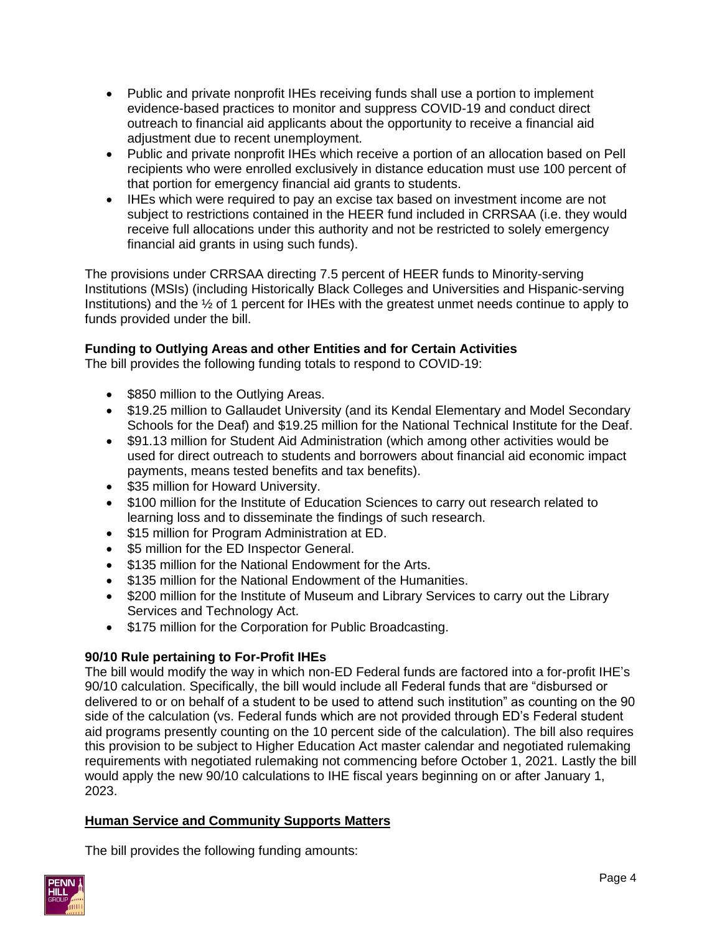- Public and private nonprofit IHEs receiving funds shall use a portion to implement evidence-based practices to monitor and suppress COVID-19 and conduct direct outreach to financial aid applicants about the opportunity to receive a financial aid adjustment due to recent unemployment.
- Public and private nonprofit IHEs which receive a portion of an allocation based on Pell recipients who were enrolled exclusively in distance education must use 100 percent of that portion for emergency financial aid grants to students.
- IHEs which were required to pay an excise tax based on investment income are not subject to restrictions contained in the HEER fund included in CRRSAA (i.e. they would receive full allocations under this authority and not be restricted to solely emergency financial aid grants in using such funds).

The provisions under CRRSAA directing 7.5 percent of HEER funds to Minority-serving Institutions (MSIs) (including Historically Black Colleges and Universities and Hispanic-serving Institutions) and the ½ of 1 percent for IHEs with the greatest unmet needs continue to apply to funds provided under the bill.

# **Funding to Outlying Areas and other Entities and for Certain Activities**

The bill provides the following funding totals to respond to COVID-19:

- \$850 million to the Outlying Areas.
- \$19.25 million to Gallaudet University (and its Kendal Elementary and Model Secondary Schools for the Deaf) and \$19.25 million for the National Technical Institute for the Deaf.
- \$91.13 million for Student Aid Administration (which among other activities would be used for direct outreach to students and borrowers about financial aid economic impact payments, means tested benefits and tax benefits).
- \$35 million for Howard University.
- \$100 million for the Institute of Education Sciences to carry out research related to learning loss and to disseminate the findings of such research.
- \$15 million for Program Administration at ED.
- \$5 million for the ED Inspector General.
- \$135 million for the National Endowment for the Arts.
- \$135 million for the National Endowment of the Humanities.
- \$200 million for the Institute of Museum and Library Services to carry out the Library Services and Technology Act.
- \$175 million for the Corporation for Public Broadcasting.

# **90/10 Rule pertaining to For-Profit IHEs**

The bill would modify the way in which non-ED Federal funds are factored into a for-profit IHE's 90/10 calculation. Specifically, the bill would include all Federal funds that are "disbursed or delivered to or on behalf of a student to be used to attend such institution" as counting on the 90 side of the calculation (vs. Federal funds which are not provided through ED's Federal student aid programs presently counting on the 10 percent side of the calculation). The bill also requires this provision to be subject to Higher Education Act master calendar and negotiated rulemaking requirements with negotiated rulemaking not commencing before October 1, 2021. Lastly the bill would apply the new 90/10 calculations to IHE fiscal years beginning on or after January 1, 2023.

# **Human Service and Community Supports Matters**

The bill provides the following funding amounts:

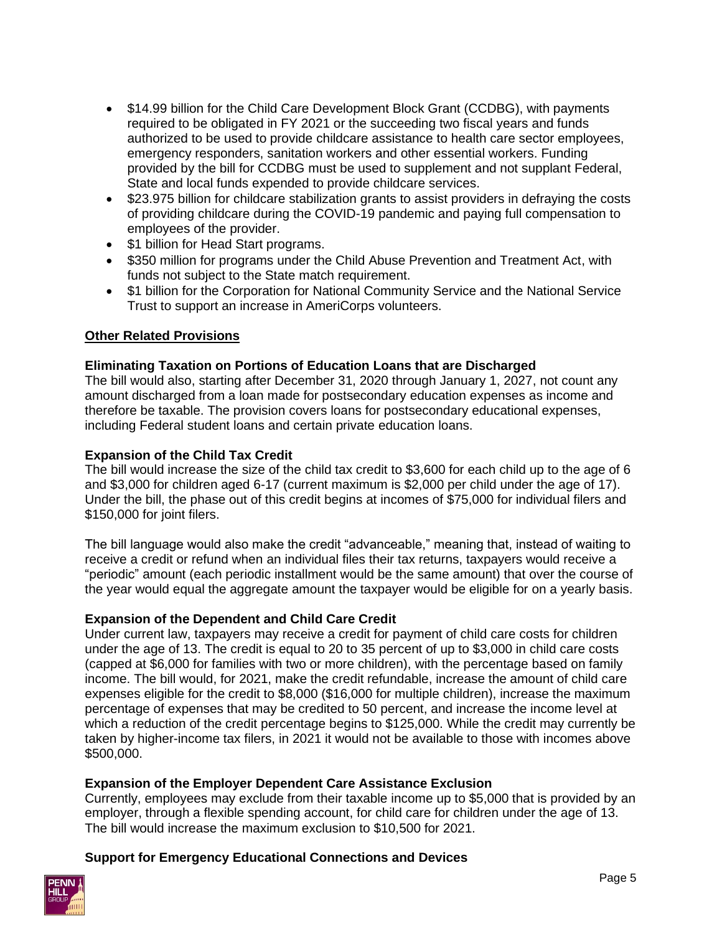- \$14.99 billion for the Child Care Development Block Grant (CCDBG), with payments required to be obligated in FY 2021 or the succeeding two fiscal years and funds authorized to be used to provide childcare assistance to health care sector employees, emergency responders, sanitation workers and other essential workers. Funding provided by the bill for CCDBG must be used to supplement and not supplant Federal, State and local funds expended to provide childcare services.
- \$23.975 billion for childcare stabilization grants to assist providers in defraying the costs of providing childcare during the COVID-19 pandemic and paying full compensation to employees of the provider.
- \$1 billion for Head Start programs.
- \$350 million for programs under the Child Abuse Prevention and Treatment Act, with funds not subject to the State match requirement.
- \$1 billion for the Corporation for National Community Service and the National Service Trust to support an increase in AmeriCorps volunteers.

## **Other Related Provisions**

## **Eliminating Taxation on Portions of Education Loans that are Discharged**

The bill would also, starting after December 31, 2020 through January 1, 2027, not count any amount discharged from a loan made for postsecondary education expenses as income and therefore be taxable. The provision covers loans for postsecondary educational expenses, including Federal student loans and certain private education loans.

### **Expansion of the Child Tax Credit**

The bill would increase the size of the child tax credit to \$3,600 for each child up to the age of 6 and \$3,000 for children aged 6-17 (current maximum is \$2,000 per child under the age of 17). Under the bill, the phase out of this credit begins at incomes of \$75,000 for individual filers and \$150,000 for joint filers.

The bill language would also make the credit "advanceable," meaning that, instead of waiting to receive a credit or refund when an individual files their tax returns, taxpayers would receive a "periodic" amount (each periodic installment would be the same amount) that over the course of the year would equal the aggregate amount the taxpayer would be eligible for on a yearly basis.

## **Expansion of the Dependent and Child Care Credit**

Under current law, taxpayers may receive a credit for payment of child care costs for children under the age of 13. The credit is equal to 20 to 35 percent of up to \$3,000 in child care costs (capped at \$6,000 for families with two or more children), with the percentage based on family income. The bill would, for 2021, make the credit refundable, increase the amount of child care expenses eligible for the credit to \$8,000 (\$16,000 for multiple children), increase the maximum percentage of expenses that may be credited to 50 percent, and increase the income level at which a reduction of the credit percentage begins to \$125,000. While the credit may currently be taken by higher-income tax filers, in 2021 it would not be available to those with incomes above \$500,000.

### **Expansion of the Employer Dependent Care Assistance Exclusion**

Currently, employees may exclude from their taxable income up to \$5,000 that is provided by an employer, through a flexible spending account, for child care for children under the age of 13. The bill would increase the maximum exclusion to \$10,500 for 2021.

### **Support for Emergency Educational Connections and Devices**